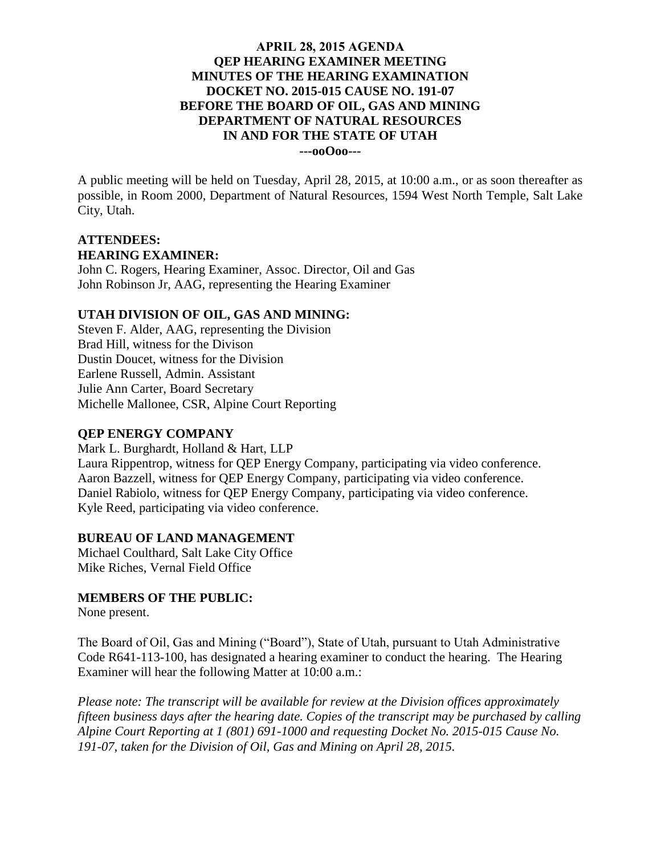### **APRIL 28, 2015 AGENDA QEP HEARING EXAMINER MEETING MINUTES OF THE HEARING EXAMINATION DOCKET NO. 2015-015 CAUSE NO. 191-07 BEFORE THE BOARD OF OIL, GAS AND MINING DEPARTMENT OF NATURAL RESOURCES IN AND FOR THE STATE OF UTAH ---ooOoo---**

A public meeting will be held on Tuesday, April 28, 2015, at 10:00 a.m., or as soon thereafter as possible, in Room 2000, Department of Natural Resources, 1594 West North Temple, Salt Lake City, Utah.

# **ATTENDEES: HEARING EXAMINER:**

John C. Rogers, Hearing Examiner, Assoc. Director, Oil and Gas John Robinson Jr, AAG, representing the Hearing Examiner

## **UTAH DIVISION OF OIL, GAS AND MINING:**

Steven F. Alder, AAG, representing the Division Brad Hill, witness for the Divison Dustin Doucet, witness for the Division Earlene Russell, Admin. Assistant Julie Ann Carter, Board Secretary Michelle Mallonee, CSR, Alpine Court Reporting

### **QEP ENERGY COMPANY**

Mark L. Burghardt, Holland & Hart, LLP Laura Rippentrop, witness for QEP Energy Company, participating via video conference. Aaron Bazzell, witness for QEP Energy Company, participating via video conference. Daniel Rabiolo, witness for QEP Energy Company, participating via video conference. Kyle Reed, participating via video conference.

### **BUREAU OF LAND MANAGEMENT**

Michael Coulthard, Salt Lake City Office Mike Riches, Vernal Field Office

### **MEMBERS OF THE PUBLIC:**

None present.

The Board of Oil, Gas and Mining ("Board"), State of Utah, pursuant to Utah Administrative Code R641-113-100, has designated a hearing examiner to conduct the hearing. The Hearing Examiner will hear the following Matter at 10:00 a.m.:

*Please note: The transcript will be available for review at the Division offices approximately fifteen business days after the hearing date. Copies of the transcript may be purchased by calling Alpine Court Reporting at 1 (801) 691-1000 and requesting Docket No. 2015-015 Cause No. 191-07, taken for the Division of Oil, Gas and Mining on April 28, 2015.*